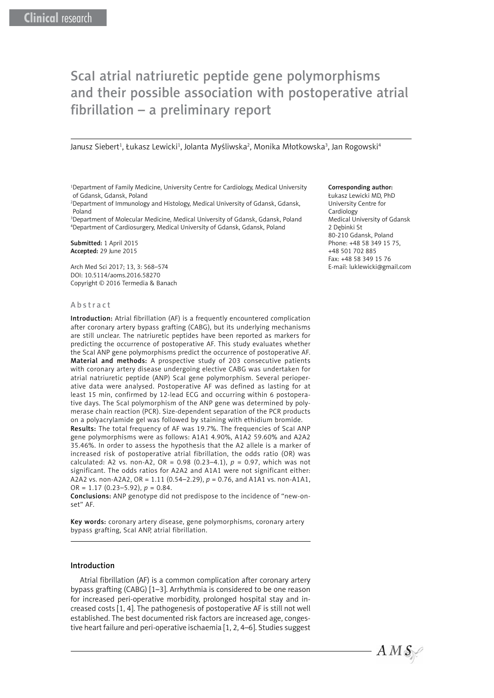# ScaI atrial natriuretic peptide gene polymorphisms and their possible association with postoperative atrial fibrillation – a preliminary report

Janusz Siebert<sup>1</sup>, Łukasz Lewicki<sup>1</sup>, Jolanta Myśliwska<sup>2</sup>, Monika Młotkowska<sup>3</sup>, Jan Rogowski<sup>4</sup>

<sup>1</sup>Department of Family Medicine, University Centre for Cardiology, Medical University of Gdansk, Gdansk, Poland

2 Department of Immunology and Histology, Medical University of Gdansk, Gdansk, Poland

3 Department of Molecular Medicine, Medical University of Gdansk, Gdansk, Poland 4 Department of Cardiosurgery, Medical University of Gdansk, Gdansk, Poland

Submitted: 1 April 2015 Accepted: 29 June 2015

Arch Med Sci 2017; 13, 3: 568–574 DOI: 10.5114/aoms.2016.58270 Copyright © 2016 Termedia & Banach

#### Abstract

Introduction: Atrial fibrillation (AF) is a frequently encountered complication after coronary artery bypass grafting (CABG), but its underlying mechanisms are still unclear. The natriuretic peptides have been reported as markers for predicting the occurrence of postoperative AF. This study evaluates whether the ScaI ANP gene polymorphisms predict the occurrence of postoperative AF. Material and methods: A prospective study of 203 consecutive patients with coronary artery disease undergoing elective CABG was undertaken for atrial natriuretic peptide (ANP) ScaI gene polymorphism. Several perioperative data were analysed. Postoperative AF was defined as lasting for at least 15 min, confirmed by 12-lead ECG and occurring within 6 postoperative days. The ScaI polymorphism of the ANP gene was determined by polymerase chain reaction (PCR). Size-dependent separation of the PCR products on a polyacrylamide gel was followed by staining with ethidium bromide. Results: The total frequency of AF was 19.7%. The frequencies of ScaI ANP gene polymorphisms were as follows: A1A1 4.90%, A1A2 59.60% and A2A2 35.46%. In order to assess the hypothesis that the A2 allele is a marker of increased risk of postoperative atrial fibrillation, the odds ratio (OR) was calculated: A2 vs. non-A2, OR = 0.98 (0.23–4.1), *p* = 0.97, which was not significant. The odds ratios for A2A2 and A1A1 were not significant either: A2A2 vs. non-A2A2, OR = 1.11 (0.54–2.29), *p* = 0.76, and A1A1 vs. non-A1A1, OR = 1.17 (0.23–5.92), *p* = 0.84.

Conclusions: ANP genotype did not predispose to the incidence of "new-onset" AF.

Key words: coronary artery disease, gene polymorphisms, coronary artery bypass grafting, ScaI ANP, atrial fibrillation.

#### Introduction

Atrial fibrillation (AF) is a common complication after coronary artery bypass grafting (CABG) [1–3]. Arrhythmia is considered to be one reason for increased peri-operative morbidity, prolonged hospital stay and increased costs [1, 4]. The pathogenesis of postoperative AF is still not well established. The best documented risk factors are increased age, congestive heart failure and peri-operative ischaemia [1, 2, 4–6]. Studies suggest

#### Corresponding author:

Łukasz Lewicki MD, PhD University Centre for Cardiology Medical University of Gdansk 2 Dębinki St 80-210 Gdansk, Poland Phone: +48 58 349 15 75, +48 501 702 885 Fax: +48 58 349 15 76 E-mail: luklewicki@gmail.com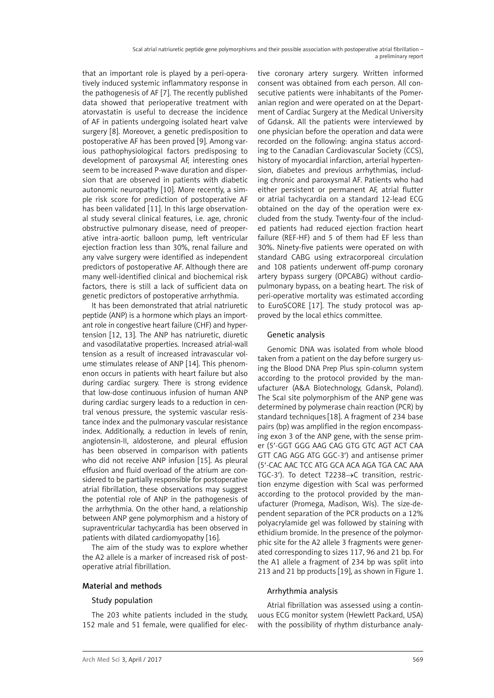that an important role is played by a peri-operatively induced systemic inflammatory response in the pathogenesis of AF [7]. The recently published data showed that perioperative treatment with atorvastatin is useful to decrease the incidence of AF in patients undergoing isolated heart valve surgery [8]. Moreover, a genetic predisposition to postoperative AF has been proved [9]. Among various pathophysiological factors predisposing to development of paroxysmal AF, interesting ones seem to be increased P-wave duration and dispersion that are observed in patients with diabetic autonomic neuropathy [10]. More recently, a simple risk score for prediction of postoperative AF has been validated [11]. In this large observational study several clinical features, i.e. age, chronic obstructive pulmonary disease, need of preoperative intra-aortic balloon pump, left ventricular ejection fraction less than 30%, renal failure and any valve surgery were identified as independent predictors of postoperative AF. Although there are many well-identified clinical and biochemical risk factors, there is still a lack of sufficient data on genetic predictors of postoperative arrhythmia.

It has been demonstrated that atrial natriuretic peptide (ANP) is a hormone which plays an important role in congestive heart failure (CHF) and hypertension [12, 13]. The ANP has natriuretic, diuretic and vasodilatative properties. Increased atrial-wall tension as a result of increased intravascular volume stimulates release of ANP [14]. This phenomenon occurs in patients with heart failure but also during cardiac surgery. There is strong evidence that low-dose continuous infusion of human ANP during cardiac surgery leads to a reduction in central venous pressure, the systemic vascular resistance index and the pulmonary vascular resistance index. Additionally, a reduction in levels of renin, angiotensin-II, aldosterone, and pleural effusion has been observed in comparison with patients who did not receive ANP infusion [15]. As pleural effusion and fluid overload of the atrium are considered to be partially responsible for postoperative atrial fibrillation, these observations may suggest the potential role of ANP in the pathogenesis of the arrhythmia. On the other hand, a relationship between ANP gene polymorphism and a history of supraventricular tachycardia has been observed in patients with dilated cardiomyopathy [16].

The aim of the study was to explore whether the A2 allele is a marker of increased risk of postoperative atrial fibrillation.

# Material and methods

# Study population

The 203 white patients included in the study, 152 male and 51 female, were qualified for elective coronary artery surgery. Written informed consent was obtained from each person. All consecutive patients were inhabitants of the Pomeranian region and were operated on at the Department of Cardiac Surgery at the Medical University of Gdansk. All the patients were interviewed by one physician before the operation and data were recorded on the following: angina status according to the Canadian Cardiovascular Society (CCS), history of myocardial infarction, arterial hypertension, diabetes and previous arrhythmias, including chronic and paroxysmal AF. Patients who had either persistent or permanent AF, atrial flutter or atrial tachycardia on a standard 12-lead ECG obtained on the day of the operation were excluded from the study. Twenty-four of the included patients had reduced ejection fraction heart failure (REF-HF) and 5 of them had EF less than 30%. Ninety-five patients were operated on with standard CABG using extracorporeal circulation and 108 patients underwent off-pump coronary artery bypass surgery (OPCABG) without cardiopulmonary bypass, on a beating heart. The risk of peri-operative mortality was estimated according to EuroSCORE [17]. The study protocol was approved by the local ethics committee.

## Genetic analysis

Genomic DNA was isolated from whole blood taken from a patient on the day before surgery using the Blood DNA Prep Plus spin-column system according to the protocol provided by the manufacturer (A&A Biotechnology, Gdansk, Poland). The ScaI site polymorphism of the ANP gene was determined by polymerase chain reaction (PCR) by standard techniques [18]. A fragment of 234 base pairs (bp) was amplified in the region encompassing exon 3 of the ANP gene, with the sense primer (5′-GGT GGG AAG CAG GTG GTC AGT ACT CAA GTT CAG AGG ATG GGC-3′) and antisense primer (5′-CAC AAC TCC ATG GCA ACA AGA TGA CAC AAA TGC-3′). To detect T2238→C transition, restriction enzyme digestion with ScaI was performed according to the protocol provided by the manufacturer (Promega, Madison, Wis). The size-dependent separation of the PCR products on a 12% polyacrylamide gel was followed by staining with ethidium bromide. In the presence of the polymorphic site for the A2 allele 3 fragments were generated corresponding to sizes 117, 96 and 21 bp. For the A1 allele a fragment of 234 bp was split into 213 and 21 bp products [19], as shown in Figure 1.

## Arrhythmia analysis

Atrial fibrillation was assessed using a continuous ECG monitor system (Hewlett Packard, USA) with the possibility of rhythm disturbance analy-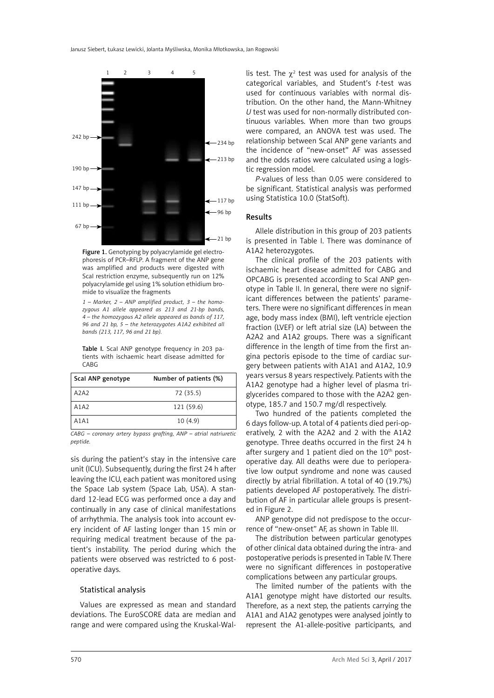

Figure 1. Genotyping by polyacrylamide gel electrophoresis of PCR–RFLP. A fragment of the ANP gene was amplified and products were digested with ScaI restriction enzyme, subsequently run on 12% polyacrylamide gel using 1% solution ethidium bromide to visualize the fragments

*1 – Marker, 2 – ANP amplified product, 3 – the homozygous A1 allele appeared as 213 and 21-bp bands, 4 – the homozygous A2 allele appeared as bands of 117, 96 and 21 bp, 5 – the heterozygotes A1A2 exhibited all bands (213, 117, 96 and 21 bp).*

Table I. Scal ANP genotype frequency in 203 patients with ischaemic heart disease admitted for CABG

| Scal ANP genotype | Number of patients (%) |
|-------------------|------------------------|
| A2A2              | 72 (35.5)              |
| A1A2              | 121 (59.6)             |
| A1A1              | 10(4.9)                |

*CABG – coronary artery bypass grafting, ANP – atrial natriuretic peptide.*

sis during the patient's stay in the intensive care unit (ICU). Subsequently, during the first 24 h after leaving the ICU, each patient was monitored using the Space Lab system (Space Lab, USA). A standard 12-lead ECG was performed once a day and continually in any case of clinical manifestations of arrhythmia. The analysis took into account every incident of AF lasting longer than 15 min or requiring medical treatment because of the patient's instability. The period during which the patients were observed was restricted to 6 postoperative days.

#### Statistical analysis

Values are expressed as mean and standard deviations. The EuroSCORE data are median and range and were compared using the Kruskal-Wal-

lis test. The  $\chi^2$  test was used for analysis of the categorical variables, and Student's *t*-test was used for continuous variables with normal distribution. On the other hand, the Mann-Whitney *U* test was used for non-normally distributed continuous variables. When more than two groups were compared, an ANOVA test was used. The relationship between ScaI ANP gene variants and the incidence of "new-onset" AF was assessed and the odds ratios were calculated using a logistic regression model.

*P*-values of less than 0.05 were considered to be significant. Statistical analysis was performed using Statistica 10.0 (StatSoft).

#### Results

Allele distribution in this group of 203 patients is presented in Table I. There was dominance of A1A2 heterozygotes.

The clinical profile of the 203 patients with ischaemic heart disease admitted for CABG and OPCABG is presented according to ScaI ANP genotype in Table II. In general, there were no significant differences between the patients' parameters. There were no significant differences in mean age, body mass index (BMI), left ventricle ejection fraction (LVEF) or left atrial size (LA) between the A2A2 and A1A2 groups. There was a significant difference in the length of time from the first angina pectoris episode to the time of cardiac surgery between patients with A1A1 and A1A2, 10.9 years versus 8 years respectively. Patients with the A1A2 genotype had a higher level of plasma triglycerides compared to those with the A2A2 genotype, 185.7 and 150.7 mg/dl respectively.

Two hundred of the patients completed the 6 days follow-up. A total of 4 patients died peri-operatively, 2 with the A2A2 and 2 with the A1A2 genotype. Three deaths occurred in the first 24 h after surgery and 1 patient died on the 10<sup>th</sup> postoperative day. All deaths were due to perioperative low output syndrome and none was caused directly by atrial fibrillation. A total of 40 (19.7%) patients developed AF postoperatively. The distribution of AF in particular allele groups is presented in Figure 2.

ANP genotype did not predispose to the occurrence of "new-onset" AF, as shown in Table III.

The distribution between particular genotypes of other clinical data obtained during the intra- and postoperative periods is presented in Table IV. There were no significant differences in postoperative complications between any particular groups.

The limited number of the patients with the A1A1 genotype might have distorted our results. Therefore, as a next step, the patients carrying the A1A1 and A1A2 genotypes were analysed jointly to represent the A1-allele-positive participants, and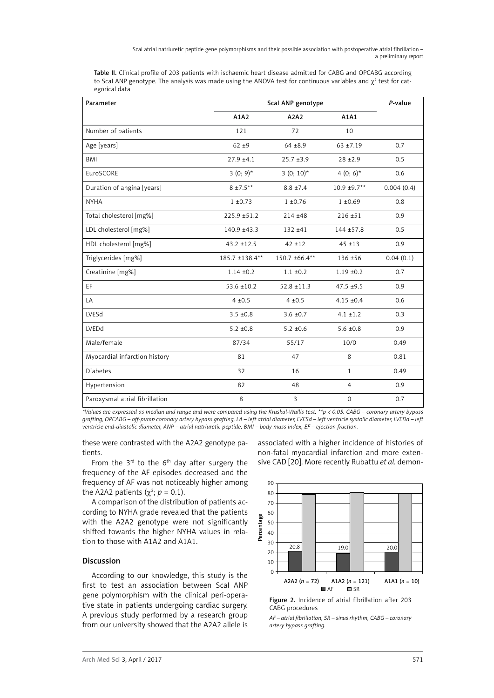ScaI atrial natriuretic peptide gene polymorphisms and their possible association with postoperative atrial fibrillation – a preliminary report

Table II. Clinical profile of 203 patients with ischaemic heart disease admitted for CABG and OPCABG according to ScaI ANP genotype. The analysis was made using the ANOVA test for continuous variables and  $\chi^2$  test for categorical data

| Parameter                      |                 | Scal ANP genotype |                |            |
|--------------------------------|-----------------|-------------------|----------------|------------|
|                                | A1A2            | A2A2              | A1A1           |            |
| Number of patients             | 121             | 72                | 10             |            |
| Age [years]                    | $62 + 9$        | $64 + 8.9$        | $63 + 7.19$    | 0.7        |
| BMI                            | $27.9 \pm 4.1$  | $25.7 + 3.9$      | $28 + 2.9$     | 0.5        |
| EuroSCORE                      | 3 $(0; 9)^*$    | $3(0; 10)^*$      | 4 $(0; 6)^*$   | 0.6        |
| Duration of angina [years]     | $8 + 7.5**$     | $8.8 \pm 7.4$     | 10.9 ±9.7**    | 0.004(0.4) |
| <b>NYHA</b>                    | $1 \pm 0.73$    | $1 + 0.76$        | $1 + 0.69$     | 0.8        |
| Total cholesterol [mg%]        | 225.9 ±51.2     | $214 + 48$        | $216 + 51$     | 0.9        |
| LDL cholesterol [mg%]          | 140.9 ±43.3     | $132 + 41$        | $144 + 57.8$   | 0.5        |
| HDL cholesterol [mg%]          | $43.2 \pm 12.5$ | $42 + 12$         | $45 + 13$      | 0.9        |
| Triglycerides [mg%]            | 185.7 ±138.4**  | 150.7 ±66.4**     | 136 ±56        | 0.04(0.1)  |
| Creatinine [mg%]               | $1.14 \pm 0.2$  | $1.1 \pm 0.2$     | $1.19 \pm 0.2$ | 0.7        |
| EF.                            | $53.6 \pm 10.2$ | $52.8 \pm 11.3$   | $47.5 + 9.5$   | 0.9        |
| LA                             | $4 + 0.5$       | $4 + 0.5$         | $4.15 \pm 0.4$ | 0.6        |
| LVESd                          | $3.5 \pm 0.8$   | $3.6 \pm 0.7$     | $4.1 \pm 1.2$  | 0.3        |
| LVEDd                          | $5.2 \pm 0.8$   | $5.2 \pm 0.6$     | $5.6 \pm 0.8$  | 0.9        |
| Male/female                    | 87/34           | 55/17             | 10/0           | 0.49       |
| Myocardial infarction history  | 81              | 47                | 8              | 0.81       |
| <b>Diabetes</b>                | 32              | 16                | $\mathbf{1}$   | 0.49       |
| Hypertension                   | 82              | 48                | $\overline{4}$ | 0.9        |
| Paroxysmal atrial fibrillation | 8               | $\overline{3}$    | $\Omega$       | 0.7        |

*\*Values are expressed as median and range and were compared using the Kruskal-Wallis test, \*\*p < 0.05. CABG – coronary artery bypass grafting, OPCABG – off-pump coronary artery bypass grafting, LA – left atrial diameter, LVESd – left ventricle systolic diameter, LVEDd – left ventricle end-diastolic diameter, ANP – atrial natriuretic peptide, BMI – body mass index, EF – ejection fraction.*

these were contrasted with the A2A2 genotype patients.

From the  $3^{rd}$  to the  $6^{th}$  day after surgery the frequency of the AF episodes decreased and the frequency of AF was not noticeably higher among the A2A2 patients ( $\chi^2$ ; *p* = 0.1).

A comparison of the distribution of patients according to NYHA grade revealed that the patients with the A2A2 genotype were not significantly shifted towards the higher NYHA values in relation to those with A1A2 and A1A1.

## Discussion

According to our knowledge, this study is the first to test an association between ScaI ANP gene polymorphism with the clinical peri-operative state in patients undergoing cardiac surgery. A previous study performed by a research group from our university showed that the A2A2 allele is associated with a higher incidence of histories of non-fatal myocardial infarction and more extensive CAD [20]. More recently Rubattu *et al.* demon-



Figure 2. Incidence of atrial fibrillation after 203 CABG procedures

*AF – atrial fibrillation, SR – sinus rhythm, CABG – coronary artery bypass grafting.*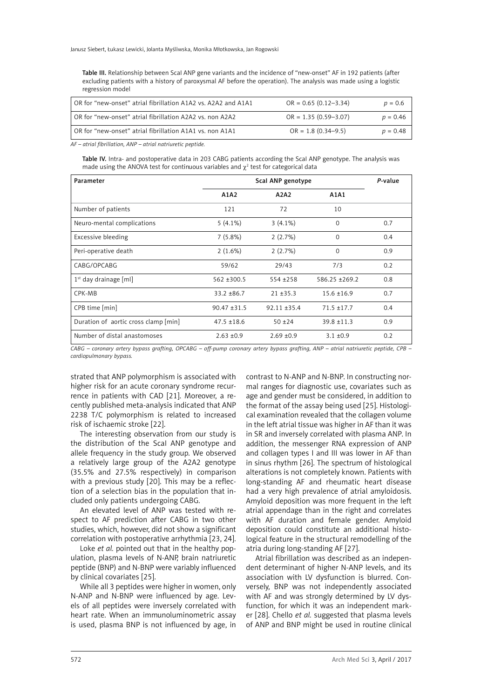Janusz Siebert, Łukasz Lewicki, Jolanta Myśliwska, Monika Młotkowska, Jan Rogowski

Table III. Relationship between ScaI ANP gene variants and the incidence of "new-onset" AF in 192 patients (after excluding patients with a history of paroxysmal AF before the operation). The analysis was made using a logistic regression model

| OR for "new-onset" atrial fibrillation A1A2 vs. A2A2 and A1A1 | $OR = 0.65 (0.12 - 3.34)$ | $p = 0.6$  |
|---------------------------------------------------------------|---------------------------|------------|
| OR for "new-onset" atrial fibrillation A2A2 vs. non A2A2      | $OR = 1.35 (0.59 - 3.07)$ | $p = 0.46$ |
| OR for "new-onset" atrial fibrillation A1A1 vs. non A1A1      | $OR = 1.8 (0.34 - 9.5)$   | $p = 0.48$ |

*AF – atrial fibrillation, ANP – atrial natriuretic peptide.*

Table IV. Intra- and postoperative data in 203 CABG patients according the Scal ANP genotype. The analysis was made using the ANOVA test for continuous variables and  $\chi^2$  test for categorical data

| Parameter                            | Scal ANP genotype |                |                 | P-value |
|--------------------------------------|-------------------|----------------|-----------------|---------|
|                                      | A1A2              | A2A2           | A1A1            |         |
| Number of patients                   | 121               | 72             | 10              |         |
| Neuro-mental complications           | $5(4.1\%)$        | $3(4.1\%)$     | $\mathbf 0$     | 0.7     |
| Excessive bleeding                   | 7(5.8%)           | 2(2.7%)        | $\mathbf 0$     | 0.4     |
| Peri-operative death                 | 2(1.6%)           | 2(2.7%)        | $\Omega$        | 0.9     |
| CABG/OPCABG                          | 59/62             | 29/43          | 7/3             | 0.2     |
| $1st$ day drainage [ml]              | $562 \pm 300.5$   | $554 + 258$    | 586.25 +269.2   | 0.8     |
| CPK-MB                               | $33.2 + 86.7$     | $21 + 35.3$    | $15.6 \pm 16.9$ | 0.7     |
| CPB time [min]                       | $90.47 \pm 31.5$  | $92.11 + 35.4$ | $71.5 + 17.7$   | 0.4     |
| Duration of aortic cross clamp [min] | $47.5 \pm 18.6$   | $50 + 24$      | $39.8 \pm 11.3$ | 0.9     |
| Number of distal anastomoses         | $2.63 + 0.9$      | $2.69 + 0.9$   | $3.1 \pm 0.9$   | 0.2     |

*CABG – coronary artery bypass grafting, OPCABG – off-pump coronary artery bypass grafting, ANP – atrial natriuretic peptide, CPB – cardiopulmonary bypass.*

strated that ANP polymorphism is associated with higher risk for an acute coronary syndrome recurrence in patients with CAD [21]. Moreover, a recently published meta-analysis indicated that ANP 2238 T/C polymorphism is related to increased risk of ischaemic stroke [22].

The interesting observation from our study is the distribution of the ScaI ANP genotype and allele frequency in the study group. We observed a relatively large group of the A2A2 genotype (35.5% and 27.5% respectively) in comparison with a previous study [20]. This may be a reflection of a selection bias in the population that included only patients undergoing CABG.

An elevated level of ANP was tested with respect to AF prediction after CABG in two other studies, which, however, did not show a significant correlation with postoperative arrhythmia [23, 24].

Loke *et al.* pointed out that in the healthy population, plasma levels of N-ANP, brain natriuretic peptide (BNP) and N-BNP were variably influenced by clinical covariates [25].

While all 3 peptides were higher in women, only N-ANP and N-BNP were influenced by age. Levels of all peptides were inversely correlated with heart rate. When an immunoluminometric assay is used, plasma BNP is not influenced by age, in

contrast to N-ANP and N-BNP. In constructing normal ranges for diagnostic use, covariates such as age and gender must be considered, in addition to the format of the assay being used [25]. Histological examination revealed that the collagen volume in the left atrial tissue was higher in AF than it was in SR and inversely correlated with plasma ANP. In addition, the messenger RNA expression of ANP and collagen types I and III was lower in AF than in sinus rhythm [26]. The spectrum of histological alterations is not completely known. Patients with long-standing AF and rheumatic heart disease had a very high prevalence of atrial amyloidosis. Amyloid deposition was more frequent in the left atrial appendage than in the right and correlates with AF duration and female gender. Amyloid deposition could constitute an additional histological feature in the structural remodelling of the atria during long-standing AF [27].

Atrial fibrillation was described as an independent determinant of higher N-ANP levels, and its association with LV dysfunction is blurred. Conversely, BNP was not independently associated with AF and was strongly determined by LV dysfunction, for which it was an independent marker [28]. Chello *et al.* suggested that plasma levels of ANP and BNP might be used in routine clinical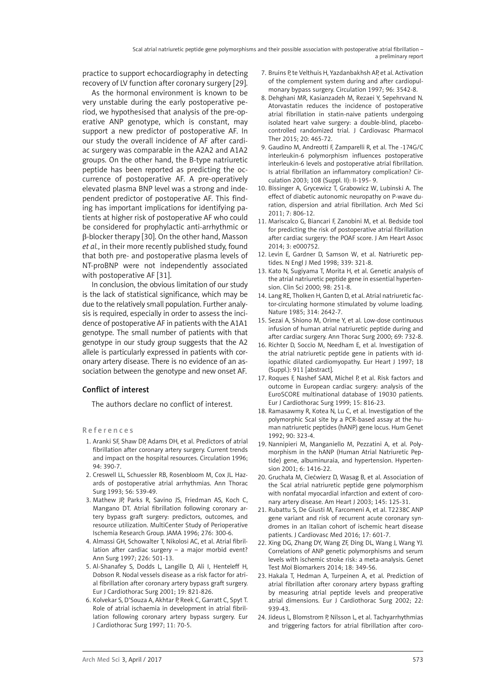practice to support echocardiography in detecting recovery of LV function after coronary surgery [29].

As the hormonal environment is known to be very unstable during the early postoperative period, we hypothesised that analysis of the pre-operative ANP genotype, which is constant, may support a new predictor of postoperative AF. In our study the overall incidence of AF after cardiac surgery was comparable in the A2A2 and A1A2 groups. On the other hand, the B-type natriuretic peptide has been reported as predicting the occurrence of postoperative AF. A pre-operatively elevated plasma BNP level was a strong and independent predictor of postoperative AF. This finding has important implications for identifying patients at higher risk of postoperative AF who could be considered for prophylactic anti-arrhythmic or β-blocker therapy [30]. On the other hand, Masson *et al.*, in their more recently published study, found that both pre- and postoperative plasma levels of NT-proBNP were not independently associated with postoperative AF [31].

In conclusion, the obvious limitation of our study is the lack of statistical significance, which may be due to the relatively small population. Further analysis is required, especially in order to assess the incidence of postoperative AF in patients with the A1A1 genotype. The small number of patients with that genotype in our study group suggests that the A2 allele is particularly expressed in patients with coronary artery disease. There is no evidence of an association between the genotype and new onset AF.

# Conflict of interest

The authors declare no conflict of interest.

References

- 1. Aranki SF, Shaw DP, Adams DH, et al. Predictors of atrial fibrillation after coronary artery surgery. Current trends and impact on the hospital resources. Circulation 1996; 94: 390-7.
- 2. Creswell LL, Schuessler RB, Rosenbloom M, Cox JL. Hazards of postoperative atrial arrhythmias. Ann Thorac Surg 1993; 56: 539-49.
- 3. Mathew JP, Parks R, Savino JS, Friedman AS, Koch C, Mangano DT. Atrial fibrillation following coronary artery bypass graft surgery: predictors, outcomes, and resource utilization. MultiCenter Study of Perioperative Ischemia Research Group. JAMA 1996; 276: 300-6.
- 4. Almassi GH, Schowalter T, Nikolosi AC, et al. Atrial fibrillation after cardiac surgery – a major morbid event? Ann Surg 1997; 226: 501-13.
- 5. Al-Shanafey S, Dodds L, Langille D, Ali I, Henteleff H, Dobson R. Nodal vessels disease as a risk factor for atrial fibrillation after coronary artery bypass graft surgery. Eur J Cardiothorac Surg 2001; 19: 821-826.
- 6. Kolvekar S, D'Souza A, Akhtar P, Reek C, Garratt C, Spyt T. Role of atrial ischaemia in development in atrial fibrillation following coronary artery bypass surgery. Eur J Cardiothorac Surg 1997; 11: 70-5.
- 7. Bruins P te Velthuis H, Yazdanbakhsh AP et al. Activation of the complement system during and after cardiopulmonary bypass surgery. Circulation 1997; 96: 3542-8.
- 8. Dehghani MR, Kasianzadeh M, Rezaei Y, Sepehrvand N. Atorvastatin reduces the incidence of postoperative atrial fibrillation in statin-naive patients undergoing isolated heart valve surgery: a double-blind, placebocontrolled randomized trial. J Cardiovasc Pharmacol Ther 2015; 20: 465-72.
- 9. Gaudino M, Andreotti F, Zamparelli R, et al. The -174G/C interleukin-6 polymorphism influences postoperative interleukin-6 levels and postoperative atrial fibrillation. Is atrial fibrillation an inflammatory complication? Circulation 2003; 108 (Suppl. II): II-195- 9.
- 10. Bissinger A, Grycewicz T, Grabowicz W, Lubinski A. The effect of diabetic autonomic neuropathy on P-wave duration, dispersion and atrial fibrillation. Arch Med Sci 2011; 7: 806-12.
- 11. Mariscalco G, Biancari F, Zanobini M, et al. Bedside tool for predicting the risk of postoperative atrial fibrillation after cardiac surgery: the POAF score. J Am Heart Assoc 2014; 3: e000752.
- 12. Levin E, Gardner D, Samson W, et al. Natriuretic peptides. N Engl J Med 1998; 339: 321-8.
- 13. Kato N, Sugiyama T, Morita H, et al. Genetic analysis of the atrial natriuretic peptide gene in essential hypertension. Clin Sci 2000; 98: 251-8.
- 14. Lang RE, Tholken H, Ganten D, et al. Atrial natriuretic factor-circulating hormone stimulated by volume loading. Nature 1985; 314: 2642-7.
- 15. Sezai A, Shiono M, Orime Y, et al. Low-dose continuous infusion of human atrial natriuretic peptide during and after cardiac surgery. Ann Thorac Surg 2000; 69: 732-8.
- 16. Richter D, Soccio M, Needham E, et al. Investigation of the atrial natriuretic peptide gene in patients with idiopathic dilated cardiomyopathy. Eur Heart J 1997; 18 (Suppl.): 911 [abstract].
- 17. Roques F, Nashef SAM, Michel P, et al. Risk factors and outcome in European cardiac surgery: analysis of the EuroSCORE multinational database of 19030 patients. Eur J Cardiothorac Surg 1999; 15: 816-23.
- 18. Ramasawmy R, Kotea N, Lu C, et al. Investigation of the polymorphic ScaI site by a PCR-based assay at the human natriuretic peptides (hANP) gene locus. Hum Genet 1992; 90: 323-4.
- 19. Nannipieri M, Manganiello M, Pezzatini A, et al. Polymorphism in the hANP (Human Atrial Natriuretic Peptide) gene, albuminuraia, and hypertension. Hypertension 2001; 6: 1416-22.
- 20. Gruchała M, Ciećwierz D, Wasag B, et al. Association of the ScaI atrial natriuretic peptide gene polymorphism with nonfatal myocardial infarction and extent of coronary artery disease. Am Heart J 2003; 145: 125-31.
- 21. Rubattu S, De Giusti M, Farcomeni A, et al. T2238C ANP gene variant and risk of recurrent acute coronary syndromes in an Italian cohort of ischemic heart disease patients. J Cardiovasc Med 2016; 17: 601-7.
- 22. Xing DG, Zhang DY, Wang ZF, Ding DL, Wang J, Wang YJ. Correlations of ANP genetic polymorphisms and serum levels with ischemic stroke risk: a meta-analysis. Genet Test Mol Biomarkers 2014; 18: 349-56.
- 23. Hakala T, Hedman A, Turpeinen A, et al. Prediction of atrial fibrillation after coronary artery bypass grafting by measuring atrial peptide levels and preoperative atrial dimensions. Eur J Cardiothorac Surg 2002; 22: 939-43.
- 24. Jideus L, Blomstrom P, Nilsson L, et al. Tachyarrhythmias and triggering factors for atrial fibrillation after coro-